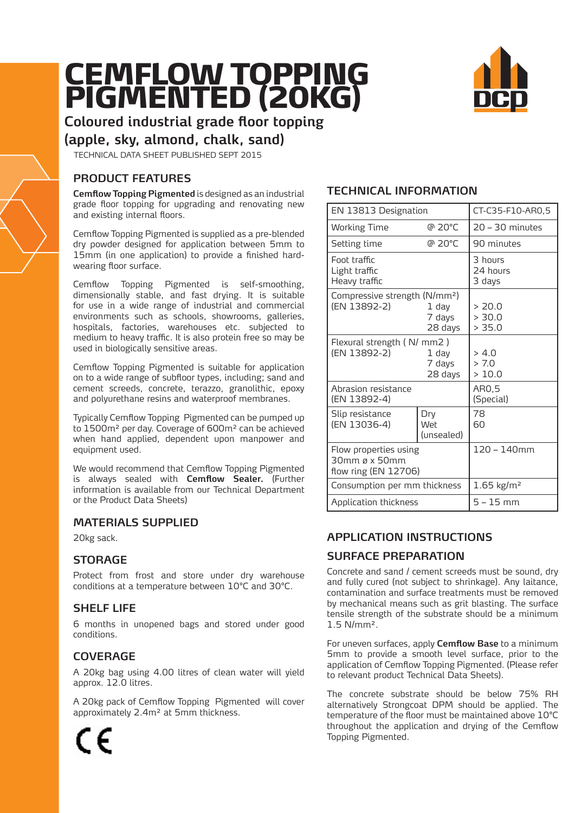# CEMFLOW TOPPING<br>PIGMENTED (20KG)



**Coloured industrial grade floor topping** 

# **(apple, sky, almond, chalk, sand)**

TECHNICAL DATA SHEET PUBLISHED SEPT 2015

# **PRODUCT FEATURES**

**Cemflow Topping Pigmented** is designed as an industrial grade floor topping for upgrading and renovating new and existing internal floors.

Cemflow Topping Pigmented is supplied as a pre-blended dry powder designed for application between 5mm to 15mm (in one application) to provide a finished hardwearing floor surface.

Cemflow Topping Pigmented is self-smoothing, dimensionally stable, and fast drying. It is suitable for use in a wide range of industrial and commercial environments such as schools, showrooms, galleries, hospitals, factories, warehouses etc. subjected to medium to heavy traffic. It is also protein free so may be used in biologically sensitive areas.

Cemflow Topping Pigmented is suitable for application on to a wide range of subfloor types, including; sand and cement screeds, concrete, terazzo, granolithic, epoxy and polyurethane resins and waterproof membranes.

Typically Cemflow Topping Pigmented can be pumped up to 1500m² per day. Coverage of 600m² can be achieved when hand applied, dependent upon manpower and equipment used.

We would recommend that Cemflow Topping Pigmented is always sealed with **Cemflow Sealer.** (Further information is available from our Technical Department or the Product Data Sheets)

# **MATERIALS SUPPLIED**

20kg sack.

## **STORAGE**

Protect from frost and store under dry warehouse conditions at a temperature between 10°C and 30°C.

# **SHELF LIFE**

6 months in unopened bags and stored under good conditions.

# **COVERAGE**

A 20kg bag using 4.00 litres of clean water will yield approx. 12.0 litres.

A 20kg pack of Cemflow Topping Pigmented will cover approximately 2.4m² at 5mm thickness.

# **TECHNICAL INFORMATION**

| EN 13813 Designation                                           |                            | CT-C35-F10-AR0,5              |
|----------------------------------------------------------------|----------------------------|-------------------------------|
| <b>Working Time</b>                                            | @ 20°C                     | $20 - 30$ minutes             |
| Setting time                                                   | @ 20°C                     | 90 minutes                    |
| Foot traffic<br>Light traffic<br>Heavy traffic                 |                            | 3 hours<br>24 hours<br>3 days |
| Compressive strength (N/mm <sup>2</sup> )<br>(EN 13892-2)      | 1 day<br>7 days<br>28 days | > 20.0<br>> 30.0<br>> 35.0    |
| Flexural strength (N/ mm2)<br>(EN 13892-2)                     | 1 day<br>7 days<br>28 days | > 4.0<br>> 7.0<br>>10.0       |
| Abrasion resistance<br>(EN 13892-4)                            |                            | AR0,5<br>(Special)            |
| Slip resistance<br>(EN 13036-4)                                | Dry<br>Wet<br>(unsealed)   | 78<br>60                      |
| Flow properties using<br>30mm ø x 50mm<br>flow ring (EN 12706) |                            | $120 - 140$ mm                |
| Consumption per mm thickness                                   |                            | 1.65 $kg/m2$                  |
| Application thickness                                          |                            | 5 – 15 mm                     |

# **APPLICATION INSTRUCTIONS**

# **SURFACE PREPARATION**

Concrete and sand / cement screeds must be sound, dry and fully cured (not subject to shrinkage). Any laitance, contamination and surface treatments must be removed by mechanical means such as grit blasting. The surface tensile strength of the substrate should be a minimum 1.5 N/mm².

For uneven surfaces, apply **Cemflow Base** to a minimum 5mm to provide a smooth level surface, prior to the application of Cemflow Topping Pigmented. (Please refer to relevant product Technical Data Sheets).

The concrete substrate should be below 75% RH alternatively Strongcoat DPM should be applied. The temperature of the floor must be maintained above 10°C throughout the application and drying of the Cemflow Topping Pigmented.